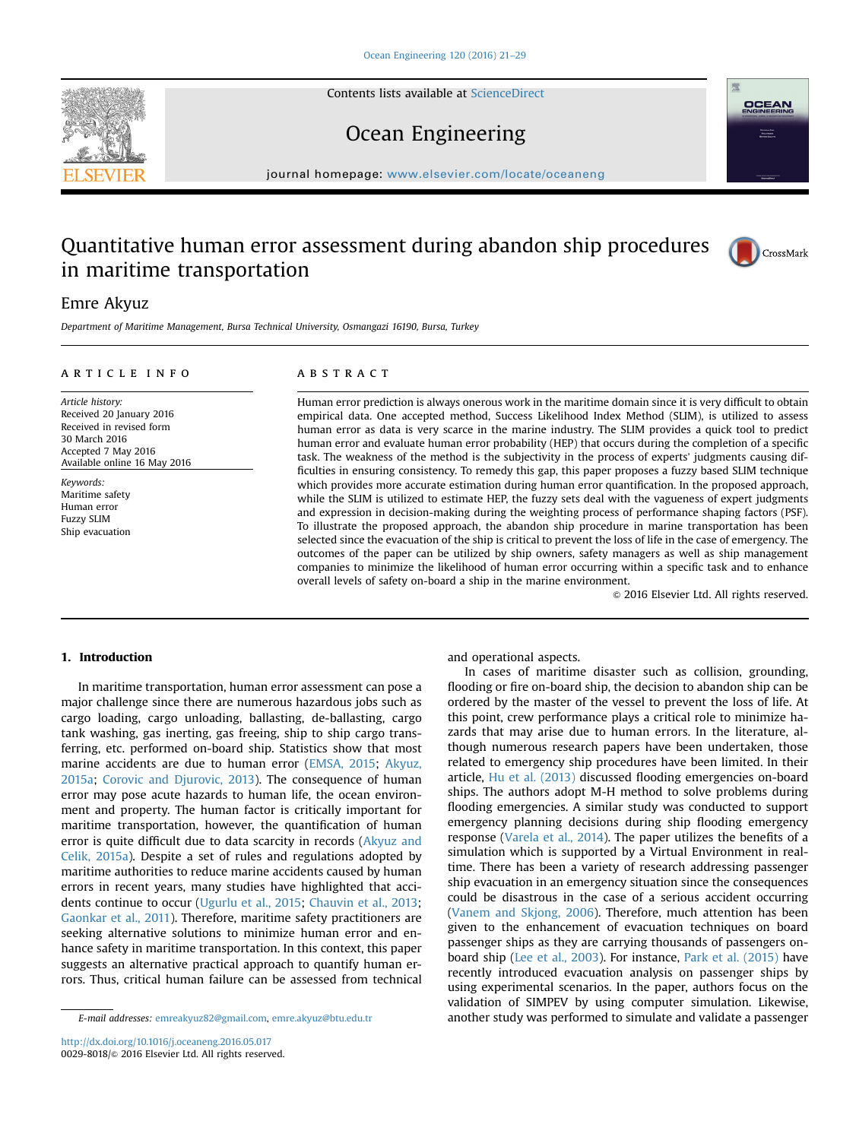Contents lists available at [ScienceDirect](www.sciencedirect.com/science/journal/00298018)





journal homepage: <www.elsevier.com/locate/oceaneng>

# Quantitative human error assessment during abandon ship procedures in maritime transportation



**OCEAN** 

# Emre Akyuz

Department of Maritime Management, Bursa Technical University, Osmangazi 16190, Bursa, Turkey

#### article info

Article history: Received 20 January 2016 Received in revised form 30 March 2016 Accepted 7 May 2016 Available online 16 May 2016

Keywords: Maritime safety Human error Fuzzy SLIM Ship evacuation

# ABSTRACT

Human error prediction is always onerous work in the maritime domain since it is very difficult to obtain empirical data. One accepted method, Success Likelihood Index Method (SLIM), is utilized to assess human error as data is very scarce in the marine industry. The SLIM provides a quick tool to predict human error and evaluate human error probability (HEP) that occurs during the completion of a specific task. The weakness of the method is the subjectivity in the process of experts' judgments causing difficulties in ensuring consistency. To remedy this gap, this paper proposes a fuzzy based SLIM technique which provides more accurate estimation during human error quantification. In the proposed approach, while the SLIM is utilized to estimate HEP, the fuzzy sets deal with the vagueness of expert judgments and expression in decision-making during the weighting process of performance shaping factors (PSF). To illustrate the proposed approach, the abandon ship procedure in marine transportation has been selected since the evacuation of the ship is critical to prevent the loss of life in the case of emergency. The outcomes of the paper can be utilized by ship owners, safety managers as well as ship management companies to minimize the likelihood of human error occurring within a specific task and to enhance overall levels of safety on-board a ship in the marine environment.

& 2016 Elsevier Ltd. All rights reserved.

## 1. Introduction

In maritime transportation, human error assessment can pose a major challenge since there are numerous hazardous jobs such as cargo loading, cargo unloading, ballasting, de-ballasting, cargo tank washing, gas inerting, gas freeing, ship to ship cargo transferring, etc. performed on-board ship. Statistics show that most marine accidents are due to human error [\(EMSA, 2015](#page-8-0); [Akyuz,](#page-8-0) [2015a;](#page-8-0) [Corovic and Djurovic, 2013](#page-8-0)). The consequence of human error may pose acute hazards to human life, the ocean environment and property. The human factor is critically important for maritime transportation, however, the quantification of human error is quite difficult due to data scarcity in records ([Akyuz and](#page-8-0) [Celik, 2015a](#page-8-0)). Despite a set of rules and regulations adopted by maritime authorities to reduce marine accidents caused by human errors in recent years, many studies have highlighted that accidents continue to occur [\(Ugurlu et al., 2015;](#page-8-0) [Chauvin et al., 2013;](#page-8-0) [Gaonkar et al., 2011\)](#page-8-0). Therefore, maritime safety practitioners are seeking alternative solutions to minimize human error and enhance safety in maritime transportation. In this context, this paper suggests an alternative practical approach to quantify human errors. Thus, critical human failure can be assessed from technical

and operational aspects.

In cases of maritime disaster such as collision, grounding, flooding or fire on-board ship, the decision to abandon ship can be ordered by the master of the vessel to prevent the loss of life. At this point, crew performance plays a critical role to minimize hazards that may arise due to human errors. In the literature, although numerous research papers have been undertaken, those related to emergency ship procedures have been limited. In their article, [Hu et al. \(2013\)](#page-8-0) discussed flooding emergencies on-board ships. The authors adopt M-H method to solve problems during flooding emergencies. A similar study was conducted to support emergency planning decisions during ship flooding emergency response [\(Varela et al., 2014](#page-8-0)). The paper utilizes the benefits of a simulation which is supported by a Virtual Environment in realtime. There has been a variety of research addressing passenger ship evacuation in an emergency situation since the consequences could be disastrous in the case of a serious accident occurring ([Vanem and Skjong, 2006](#page-8-0)). Therefore, much attention has been given to the enhancement of evacuation techniques on board passenger ships as they are carrying thousands of passengers onboard ship [\(Lee et al., 2003\)](#page-8-0). For instance, [Park et al. \(2015\)](#page-8-0) have recently introduced evacuation analysis on passenger ships by using experimental scenarios. In the paper, authors focus on the validation of SIMPEV by using computer simulation. Likewise, another study was performed to simulate and validate a passenger

E-mail addresses: [emreakyuz82@gmail.com,](mailto:emreakyuz82@gmail.com) [emre.akyuz@btu.edu.tr](mailto:emre.akyuz@btu.edu.tr)

<http://dx.doi.org/10.1016/j.oceaneng.2016.05.017> 0029-8018/© 2016 Elsevier Ltd. All rights reserved.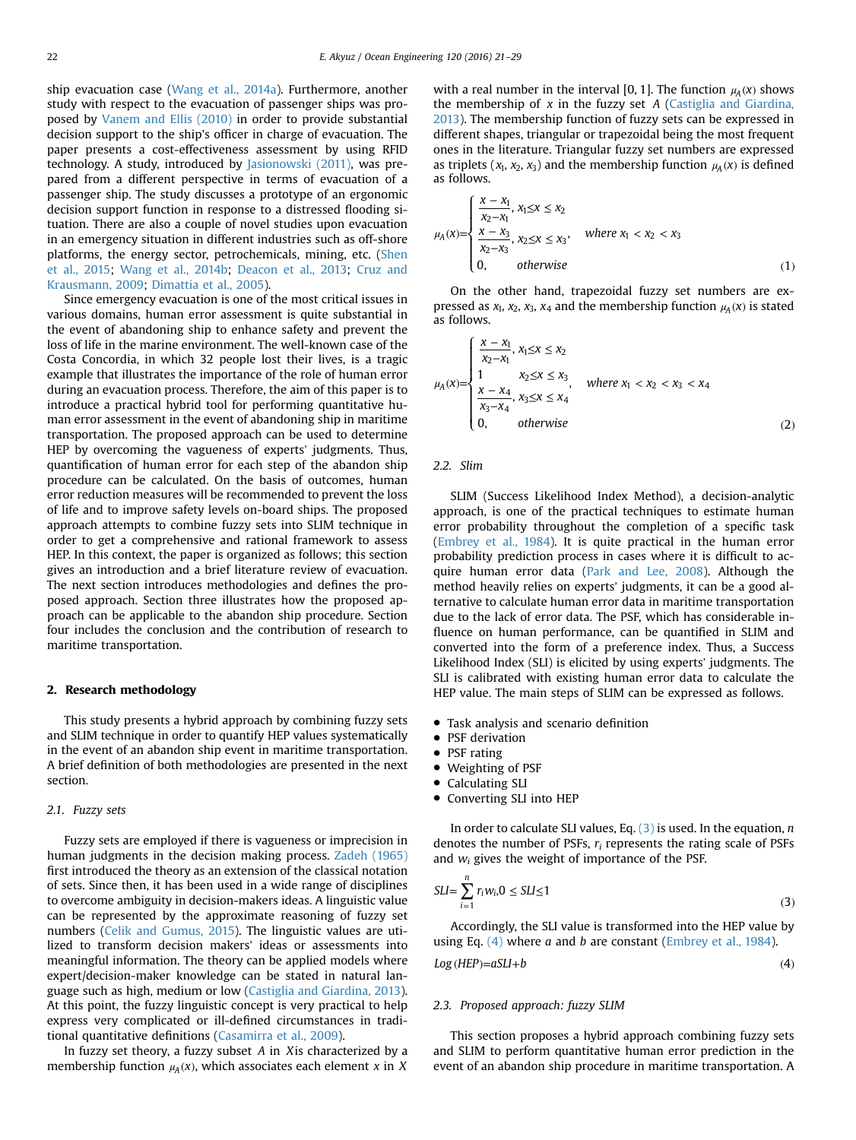<span id="page-1-0"></span>ship evacuation case ([Wang et al., 2014a](#page-8-0)). Furthermore, another study with respect to the evacuation of passenger ships was proposed by [Vanem and Ellis \(2010\)](#page-8-0) in order to provide substantial decision support to the ship's officer in charge of evacuation. The paper presents a cost-effectiveness assessment by using RFID technology. A study, introduced by [Jasionowski \(2011\)](#page-8-0), was prepared from a different perspective in terms of evacuation of a passenger ship. The study discusses a prototype of an ergonomic decision support function in response to a distressed flooding situation. There are also a couple of novel studies upon evacuation in an emergency situation in different industries such as off-shore platforms, the energy sector, petrochemicals, mining, etc. [\(Shen](#page-8-0) [et al., 2015;](#page-8-0) [Wang et al., 2014b](#page-8-0); [Deacon et al., 2013](#page-8-0); [Cruz and](#page-8-0) [Krausmann, 2009;](#page-8-0) [Dimattia et al., 2005\)](#page-8-0).

Since emergency evacuation is one of the most critical issues in various domains, human error assessment is quite substantial in the event of abandoning ship to enhance safety and prevent the loss of life in the marine environment. The well-known case of the Costa Concordia, in which 32 people lost their lives, is a tragic example that illustrates the importance of the role of human error during an evacuation process. Therefore, the aim of this paper is to introduce a practical hybrid tool for performing quantitative human error assessment in the event of abandoning ship in maritime transportation. The proposed approach can be used to determine HEP by overcoming the vagueness of experts' judgments. Thus, quantification of human error for each step of the abandon ship procedure can be calculated. On the basis of outcomes, human error reduction measures will be recommended to prevent the loss of life and to improve safety levels on-board ships. The proposed approach attempts to combine fuzzy sets into SLIM technique in order to get a comprehensive and rational framework to assess HEP. In this context, the paper is organized as follows; this section gives an introduction and a brief literature review of evacuation. The next section introduces methodologies and defines the proposed approach. Section three illustrates how the proposed approach can be applicable to the abandon ship procedure. Section four includes the conclusion and the contribution of research to maritime transportation.

#### 2. Research methodology

This study presents a hybrid approach by combining fuzzy sets and SLIM technique in order to quantify HEP values systematically in the event of an abandon ship event in maritime transportation. A brief definition of both methodologies are presented in the next section.

#### 2.1. Fuzzy sets

Fuzzy sets are employed if there is vagueness or imprecision in human judgments in the decision making process. [Zadeh \(1965\)](#page-8-0) first introduced the theory as an extension of the classical notation of sets. Since then, it has been used in a wide range of disciplines to overcome ambiguity in decision-makers ideas. A linguistic value can be represented by the approximate reasoning of fuzzy set numbers ([Celik and Gumus, 2015](#page-8-0)). The linguistic values are utilized to transform decision makers' ideas or assessments into meaningful information. The theory can be applied models where expert/decision-maker knowledge can be stated in natural language such as high, medium or low [\(Castiglia and Giardina, 2013\)](#page-8-0). At this point, the fuzzy linguistic concept is very practical to help express very complicated or ill-defined circumstances in traditional quantitative definitions ([Casamirra et al., 2009](#page-8-0)).

In fuzzy set theory, a fuzzy subset *A* in *X*is characterized by a membership function  $\mu_A(x)$ , which associates each element *x* in *X* 

with a real number in the interval [0, 1]. The function  $\mu_A(x)$  shows the membership of *x* in the fuzzy set *A* [\(Castiglia and Giardina,](#page-8-0) [2013\)](#page-8-0). The membership function of fuzzy sets can be expressed in different shapes, triangular or trapezoidal being the most frequent ones in the literature. Triangular fuzzy set numbers are expressed as triplets ( $x_1, x_2, x_3$ ) and the membership function  $\mu_A(x)$  is defined as follows.

$$
\mu_A(x) = \begin{cases}\n\frac{x - x_1}{x_2 - x_1}, & x_1 \le x \le x_2 \\
\frac{x - x_3}{x_2 - x_3}, & x_2 \le x \le x_3, \\
0, & \text{otherwise}\n\end{cases} \quad \text{where } x_1 < x_2 < x_3\n\tag{1}
$$

On the other hand, trapezoidal fuzzy set numbers are expressed as  $x_1$ ,  $x_2$ ,  $x_3$ ,  $x_4$  and the membership function  $\mu_A(x)$  is stated as follows.

$$
\mu_{A}(x) = \begin{cases}\n\frac{x - x_1}{x_2 - x_1}, & x_1 \le x \le x_2 \\
1 & x_2 \le x \le x_3 \\
\frac{x - x_4}{x_3 - x_4}, & x_3 \le x \le x_4 \\
0, & \text{otherwise}\n\end{cases}, \text{ where } x_1 < x_2 < x_3 < x_4\n\tag{2}
$$

2.2. Slim

SLIM (Success Likelihood Index Method), a decision-analytic approach, is one of the practical techniques to estimate human error probability throughout the completion of a specific task ([Embrey et al., 1984\)](#page-8-0). It is quite practical in the human error probability prediction process in cases where it is difficult to acquire human error data [\(Park and Lee, 2008\)](#page-8-0). Although the method heavily relies on experts' judgments, it can be a good alternative to calculate human error data in maritime transportation due to the lack of error data. The PSF, which has considerable influence on human performance, can be quantified in SLIM and converted into the form of a preference index. Thus, a Success Likelihood Index (SLI) is elicited by using experts' judgments. The SLI is calibrated with existing human error data to calculate the HEP value. The main steps of SLIM can be expressed as follows.

- Task analysis and scenario definition
- PSF derivation
- PSF rating
- Weighting of PSF
- Calculating SLI
- Converting SLI into HEP

In order to calculate SLI values, Eq.  $(3)$  is used. In the equation, n denotes the number of PSFs,  $r_i$  represents the rating scale of PSFs and  $w_i$  gives the weight of importance of the PSF.

$$
SLI = \sum_{i=1}^{n} r_i w_i, 0 \le SLI \le 1
$$
\n(3)

Accordingly, the SLI value is transformed into the HEP value by using Eq.  $(4)$  where a and b are constant ([Embrey et al., 1984\)](#page-8-0).

$$
Log (HEP) = aSLI + b \tag{4}
$$

#### 2.3. Proposed approach: fuzzy SLIM

This section proposes a hybrid approach combining fuzzy sets and SLIM to perform quantitative human error prediction in the event of an abandon ship procedure in maritime transportation. A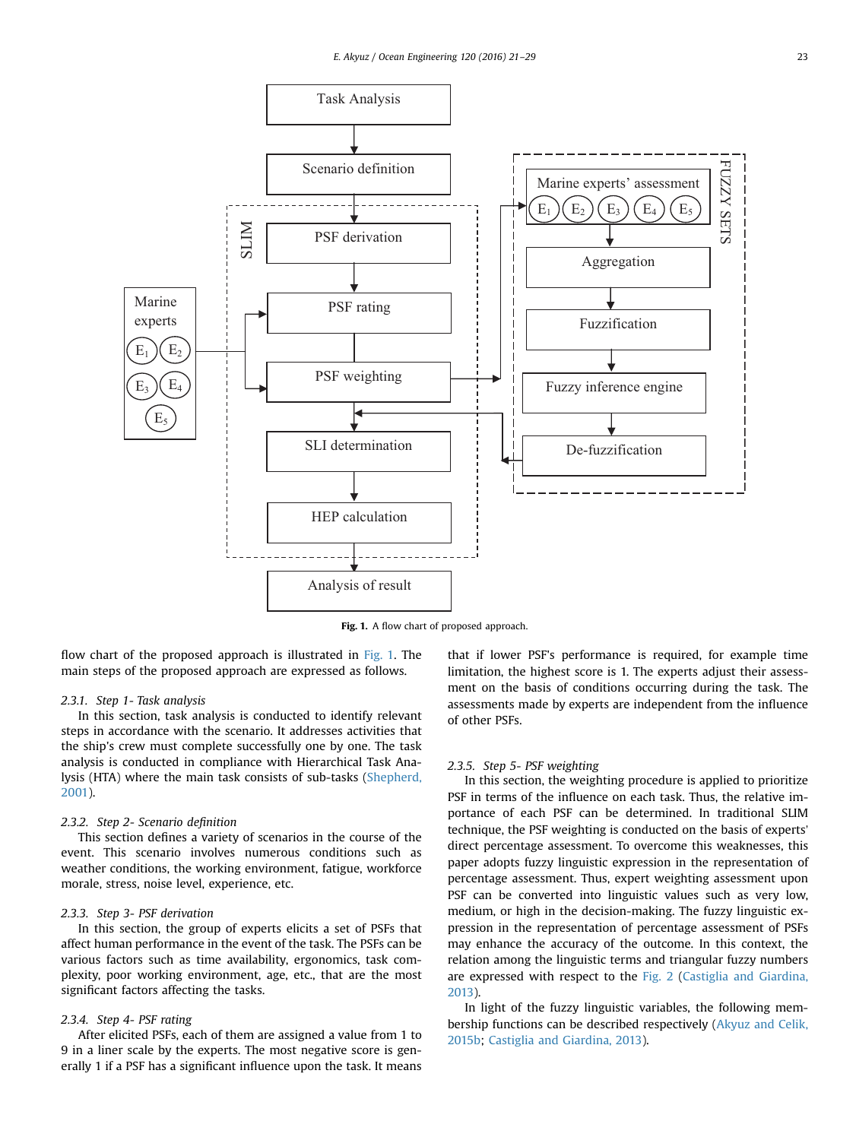

Fig. 1. A flow chart of proposed approach.

flow chart of the proposed approach is illustrated in Fig. 1. The main steps of the proposed approach are expressed as follows.

#### 2.3.1. Step 1- Task analysis

In this section, task analysis is conducted to identify relevant steps in accordance with the scenario. It addresses activities that the ship's crew must complete successfully one by one. The task analysis is conducted in compliance with Hierarchical Task Analysis (HTA) where the main task consists of sub-tasks ([Shepherd,](#page-8-0) [2001\)](#page-8-0).

# 2.3.2. Step 2- Scenario definition

This section defines a variety of scenarios in the course of the event. This scenario involves numerous conditions such as weather conditions, the working environment, fatigue, workforce morale, stress, noise level, experience, etc.

## 2.3.3. Step 3- PSF derivation

In this section, the group of experts elicits a set of PSFs that affect human performance in the event of the task. The PSFs can be various factors such as time availability, ergonomics, task complexity, poor working environment, age, etc., that are the most significant factors affecting the tasks.

## 2.3.4. Step 4- PSF rating

After elicited PSFs, each of them are assigned a value from 1 to 9 in a liner scale by the experts. The most negative score is generally 1 if a PSF has a significant influence upon the task. It means

that if lower PSF's performance is required, for example time limitation, the highest score is 1. The experts adjust their assessment on the basis of conditions occurring during the task. The assessments made by experts are independent from the influence of other PSFs.

#### 2.3.5. Step 5- PSF weighting

In this section, the weighting procedure is applied to prioritize PSF in terms of the influence on each task. Thus, the relative importance of each PSF can be determined. In traditional SLIM technique, the PSF weighting is conducted on the basis of experts' direct percentage assessment. To overcome this weaknesses, this paper adopts fuzzy linguistic expression in the representation of percentage assessment. Thus, expert weighting assessment upon PSF can be converted into linguistic values such as very low, medium, or high in the decision-making. The fuzzy linguistic expression in the representation of percentage assessment of PSFs may enhance the accuracy of the outcome. In this context, the relation among the linguistic terms and triangular fuzzy numbers are expressed with respect to the [Fig. 2](#page-3-0) [\(Castiglia and Giardina,](#page-8-0) [2013\)](#page-8-0).

In light of the fuzzy linguistic variables, the following membership functions can be described respectively ([Akyuz and Celik,](#page-8-0) [2015b](#page-8-0); [Castiglia and Giardina, 2013\)](#page-8-0).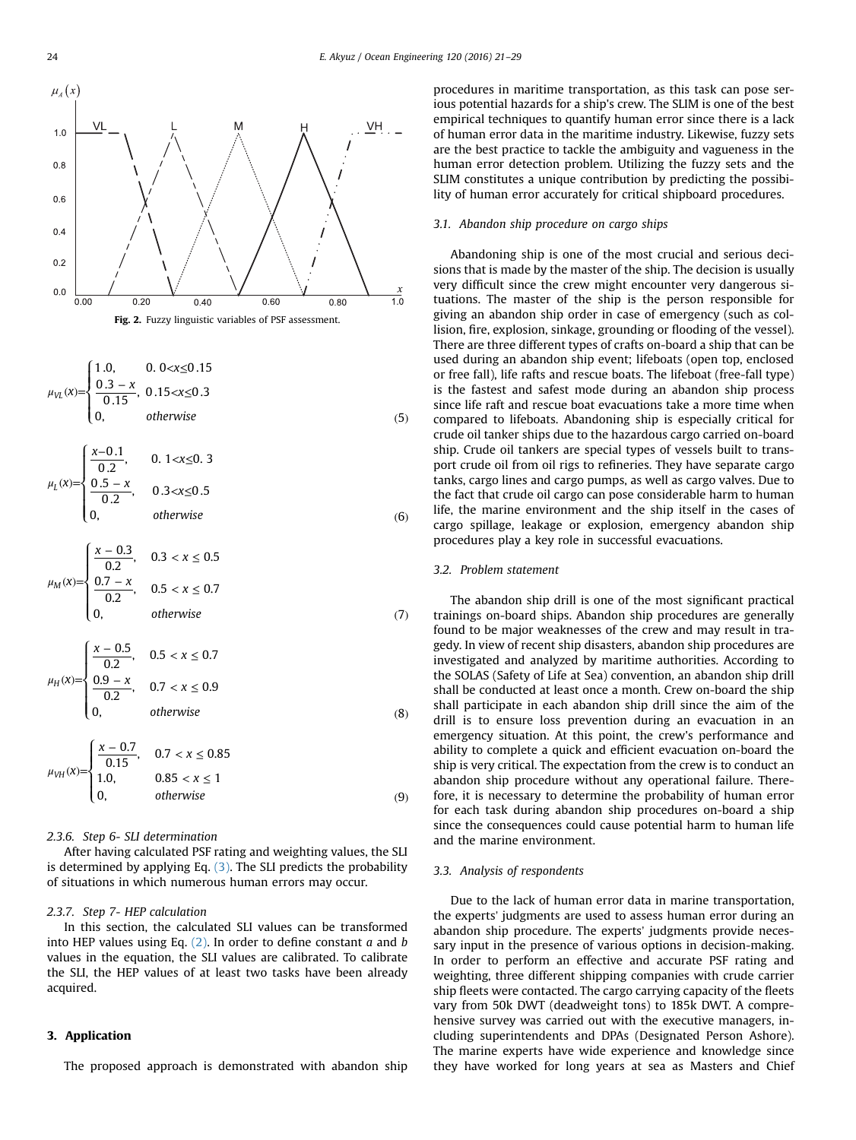<span id="page-3-0"></span>

$$
\mu_L(x) = \begin{cases}\n\frac{x - 0.1}{0.2}, & 0, 1 < x \le 0.3 \\
\frac{0.5 - x}{0.2}, & 0.3 < x \le 0.5 \\
0, & \text{otherwise}\n\end{cases}
$$
\n(6)

$$
\mu_M(x) = \begin{cases}\n\frac{x - 0.3}{0.2}, & 0.3 < x \le 0.5 \\
\frac{0.7 - x}{0.2}, & 0.5 < x \le 0.7 \\
0, & \text{otherwise}\n\end{cases}
$$
\n(7)

$$
\mu_H(x) = \begin{cases}\n\frac{x - 0.5}{0.2}, & 0.5 < x \le 0.7 \\
\frac{0.9 - x}{0.2}, & 0.7 < x \le 0.9 \\
0, & \text{otherwise}\n\end{cases}
$$
\n(8)

$$
\mu_{VH}(x) = \begin{cases} \frac{x - 0.7}{0.15}, & 0.7 < x \le 0.85\\ 1.0, & 0.85 < x \le 1\\ 0, & \text{otherwise} \end{cases}
$$
(9)

## 2.3.6. Step 6- SLI determination

After having calculated PSF rating and weighting values, the SLI is determined by applying Eq.  $(3)$ . The SLI predicts the probability of situations in which numerous human errors may occur.

## 2.3.7. Step 7- HEP calculation

In this section, the calculated SLI values can be transformed into HEP values using Eq.  $(2)$ . In order to define constant a and b values in the equation, the SLI values are calibrated. To calibrate the SLI, the HEP values of at least two tasks have been already acquired.

## 3. Application

The proposed approach is demonstrated with abandon ship

procedures in maritime transportation, as this task can pose serious potential hazards for a ship's crew. The SLIM is one of the best empirical techniques to quantify human error since there is a lack of human error data in the maritime industry. Likewise, fuzzy sets are the best practice to tackle the ambiguity and vagueness in the human error detection problem. Utilizing the fuzzy sets and the SLIM constitutes a unique contribution by predicting the possibility of human error accurately for critical shipboard procedures.

## 3.1. Abandon ship procedure on cargo ships

Abandoning ship is one of the most crucial and serious decisions that is made by the master of the ship. The decision is usually very difficult since the crew might encounter very dangerous situations. The master of the ship is the person responsible for giving an abandon ship order in case of emergency (such as collision, fire, explosion, sinkage, grounding or flooding of the vessel). There are three different types of crafts on-board a ship that can be used during an abandon ship event; lifeboats (open top, enclosed or free fall), life rafts and rescue boats. The lifeboat (free-fall type) is the fastest and safest mode during an abandon ship process since life raft and rescue boat evacuations take a more time when compared to lifeboats. Abandoning ship is especially critical for crude oil tanker ships due to the hazardous cargo carried on-board ship. Crude oil tankers are special types of vessels built to transport crude oil from oil rigs to refineries. They have separate cargo tanks, cargo lines and cargo pumps, as well as cargo valves. Due to the fact that crude oil cargo can pose considerable harm to human life, the marine environment and the ship itself in the cases of cargo spillage, leakage or explosion, emergency abandon ship procedures play a key role in successful evacuations.

#### 3.2. Problem statement

The abandon ship drill is one of the most significant practical trainings on-board ships. Abandon ship procedures are generally found to be major weaknesses of the crew and may result in tragedy. In view of recent ship disasters, abandon ship procedures are investigated and analyzed by maritime authorities. According to the SOLAS (Safety of Life at Sea) convention, an abandon ship drill shall be conducted at least once a month. Crew on-board the ship shall participate in each abandon ship drill since the aim of the drill is to ensure loss prevention during an evacuation in an emergency situation. At this point, the crew's performance and ability to complete a quick and efficient evacuation on-board the ship is very critical. The expectation from the crew is to conduct an abandon ship procedure without any operational failure. Therefore, it is necessary to determine the probability of human error for each task during abandon ship procedures on-board a ship since the consequences could cause potential harm to human life and the marine environment.

## 3.3. Analysis of respondents

Due to the lack of human error data in marine transportation, the experts' judgments are used to assess human error during an abandon ship procedure. The experts' judgments provide necessary input in the presence of various options in decision-making. In order to perform an effective and accurate PSF rating and weighting, three different shipping companies with crude carrier ship fleets were contacted. The cargo carrying capacity of the fleets vary from 50k DWT (deadweight tons) to 185k DWT. A comprehensive survey was carried out with the executive managers, including superintendents and DPAs (Designated Person Ashore). The marine experts have wide experience and knowledge since they have worked for long years at sea as Masters and Chief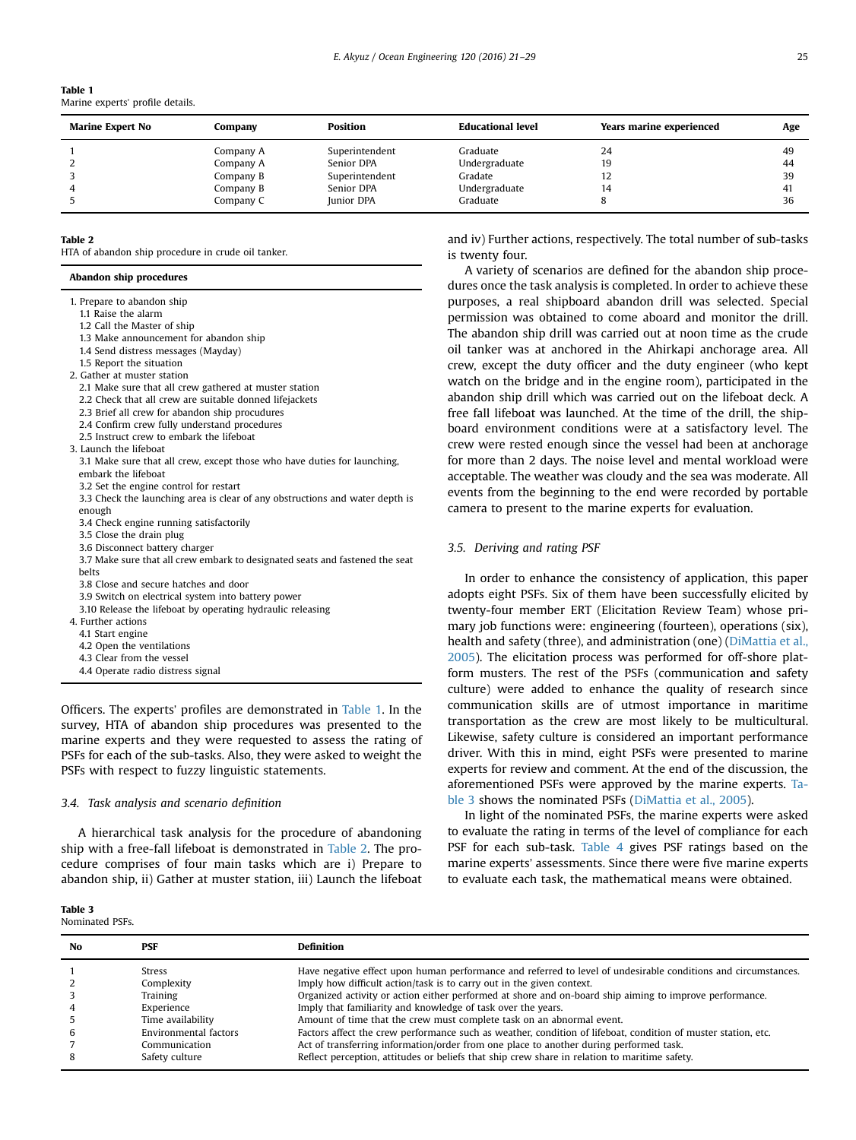| <b>Table 1</b> |                                  |  |
|----------------|----------------------------------|--|
|                | Marine experts' profile details. |  |

| <b>Marine Expert No</b> | Company   | <b>Position</b>   | <b>Educational level</b> | Years marine experienced | Age |
|-------------------------|-----------|-------------------|--------------------------|--------------------------|-----|
|                         | Company A | Superintendent    | Graduate                 | 24                       | 49  |
|                         | Company A | Senior DPA        | Undergraduate            | 19                       | 44  |
|                         | Company B | Superintendent    | Gradate                  | 12                       | 39  |
|                         | Company B | Senior DPA        | Undergraduate            | 14                       | 41  |
|                         | Company C | <b>Iunior DPA</b> | Graduate                 |                          | 36  |

## Table 2

HTA of abandon ship procedure in crude oil tanker.

## Abandon ship procedures

- 1. Prepare to abandon ship
	- 1.1 Raise the alarm
	- 1.2 Call the Master of ship
	- 1.3 Make announcement for abandon ship
	- 1.4 Send distress messages (Mayday)
- 1.5 Report the situation
- 2. Gather at muster station
	- 2.1 Make sure that all crew gathered at muster station
	- 2.2 Check that all crew are suitable donned lifejackets
	- 2.3 Brief all crew for abandon ship procudures
	- 2.4 Confirm crew fully understand procedures
	- 2.5 Instruct crew to embark the lifeboat
- 3. Launch the lifeboat
- 3.1 Make sure that all crew, except those who have duties for launching, embark the lifeboat
- 3.2 Set the engine control for restart
- 3.3 Check the launching area is clear of any obstructions and water depth is enough
- 3.4 Check engine running satisfactorily
- 3.5 Close the drain plug
- 3.6 Disconnect battery charger
- 3.7 Make sure that all crew embark to designated seats and fastened the seat belts
- 3.8 Close and secure hatches and door
- 3.9 Switch on electrical system into battery power
- 3.10 Release the lifeboat by operating hydraulic releasing
- 4. Further actions
- 4.1 Start engine
- 4.2 Open the ventilations
- 4.3 Clear from the vessel
- 4.4 Operate radio distress signal

Officers. The experts' profiles are demonstrated in Table 1. In the survey, HTA of abandon ship procedures was presented to the marine experts and they were requested to assess the rating of PSFs for each of the sub-tasks. Also, they were asked to weight the PSFs with respect to fuzzy linguistic statements.

#### 3.4. Task analysis and scenario definition

A hierarchical task analysis for the procedure of abandoning ship with a free-fall lifeboat is demonstrated in Table 2. The procedure comprises of four main tasks which are i) Prepare to abandon ship, ii) Gather at muster station, iii) Launch the lifeboat

#### Table 3 Nominated PSFs.

and iv) Further actions, respectively. The total number of sub-tasks is twenty four.

A variety of scenarios are defined for the abandon ship procedures once the task analysis is completed. In order to achieve these purposes, a real shipboard abandon drill was selected. Special permission was obtained to come aboard and monitor the drill. The abandon ship drill was carried out at noon time as the crude oil tanker was at anchored in the Ahirkapi anchorage area. All crew, except the duty officer and the duty engineer (who kept watch on the bridge and in the engine room), participated in the abandon ship drill which was carried out on the lifeboat deck. A free fall lifeboat was launched. At the time of the drill, the shipboard environment conditions were at a satisfactory level. The crew were rested enough since the vessel had been at anchorage for more than 2 days. The noise level and mental workload were acceptable. The weather was cloudy and the sea was moderate. All events from the beginning to the end were recorded by portable camera to present to the marine experts for evaluation.

## 3.5. Deriving and rating PSF

In order to enhance the consistency of application, this paper adopts eight PSFs. Six of them have been successfully elicited by twenty-four member ERT (Elicitation Review Team) whose primary job functions were: engineering (fourteen), operations (six), health and safety (three), and administration (one) ([DiMattia et al.,](#page-8-0) [2005\)](#page-8-0). The elicitation process was performed for off-shore platform musters. The rest of the PSFs (communication and safety culture) were added to enhance the quality of research since communication skills are of utmost importance in maritime transportation as the crew are most likely to be multicultural. Likewise, safety culture is considered an important performance driver. With this in mind, eight PSFs were presented to marine experts for review and comment. At the end of the discussion, the aforementioned PSFs were approved by the marine experts. Table 3 shows the nominated PSFs ([DiMattia et al., 2005\)](#page-8-0).

In light of the nominated PSFs, the marine experts were asked to evaluate the rating in terms of the level of compliance for each PSF for each sub-task. [Table 4](#page-5-0) gives PSF ratings based on the marine experts' assessments. Since there were five marine experts to evaluate each task, the mathematical means were obtained.

| No | <b>PSF</b>            | Definition                                                                                                     |
|----|-----------------------|----------------------------------------------------------------------------------------------------------------|
|    | <b>Stress</b>         | Have negative effect upon human performance and referred to level of undesirable conditions and circumstances, |
|    | Complexity            | Imply how difficult action/task is to carry out in the given context.                                          |
|    | Training              | Organized activity or action either performed at shore and on-board ship aiming to improve performance.        |
|    | Experience            | Imply that familiarity and knowledge of task over the years.                                                   |
|    | Time availability     | Amount of time that the crew must complete task on an abnormal event.                                          |
|    | Environmental factors | Factors affect the crew performance such as weather, condition of lifeboat, condition of muster station, etc.  |
|    | Communication         | Act of transferring information/order from one place to another during performed task.                         |
|    | Safety culture        | Reflect perception, attitudes or beliefs that ship crew share in relation to maritime safety.                  |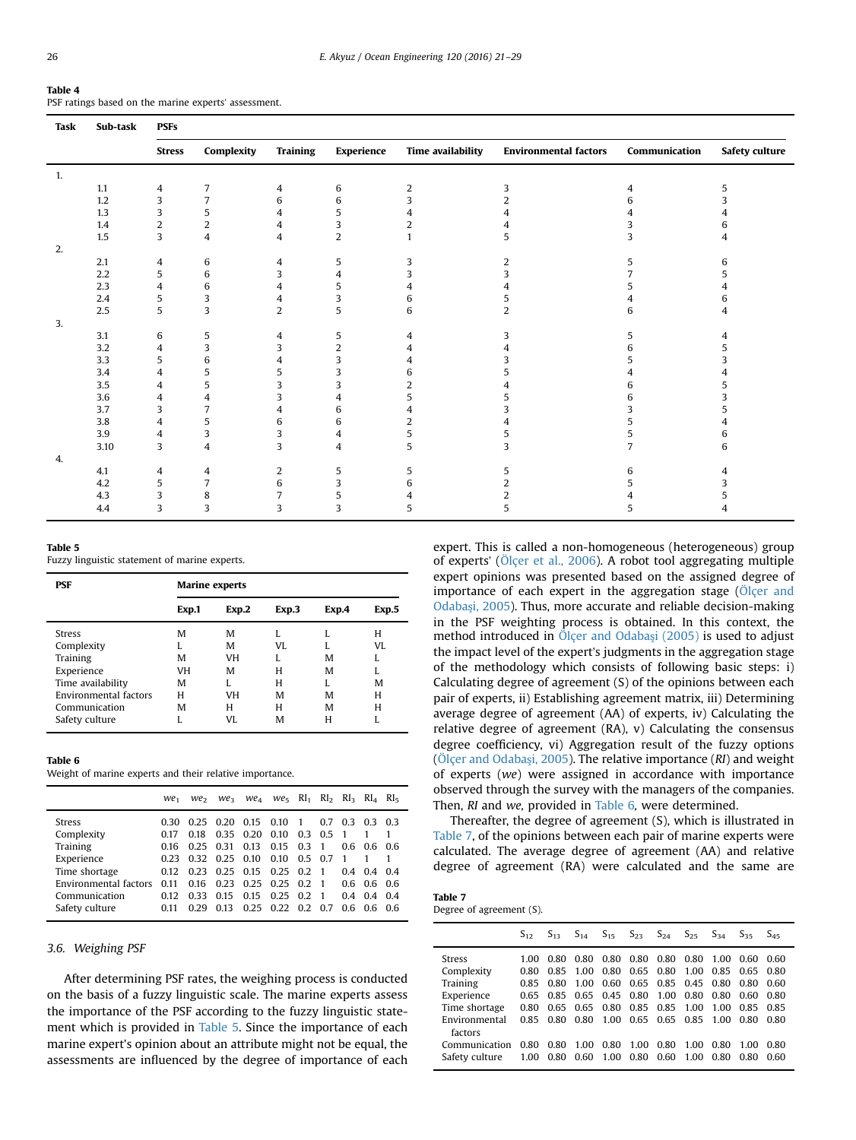#### <span id="page-5-0"></span>Table 4

PSF ratings based on the marine experts' assessment.

| <b>Task</b> | Sub-task | <b>PSFs</b>   |                         |                 |                  |                   |                              |               |                       |
|-------------|----------|---------------|-------------------------|-----------------|------------------|-------------------|------------------------------|---------------|-----------------------|
|             |          | <b>Stress</b> | Complexity              | <b>Training</b> | Experience       | Time availability | <b>Environmental factors</b> | Communication | <b>Safety culture</b> |
| 1.          |          |               |                         |                 |                  |                   |                              |               |                       |
|             | 1.1      | 4             | $\sqrt{ }$              | 4               | 6                | $\boldsymbol{2}$  | 3                            | 4             | 5                     |
|             | 1.2      | 3             | $\overline{7}$          | 6               | 6                | 3                 | 2                            | 6             | 3                     |
|             | 1.3      | 3             | 5                       | 4               | 5                | 4                 | 4                            |               | 4                     |
|             | 1.4      | 2             | $\overline{\mathbf{c}}$ | 4               | 3                | 2                 | 4                            | 3             | 6                     |
|             | 1.5      | 3             | 4                       | 4               | $\boldsymbol{2}$ | 1                 | 5                            | 3             | 4                     |
| 2.          |          |               |                         |                 |                  |                   |                              |               |                       |
|             | 2.1      | 4             | 6                       | 4               | 5                | 3                 | 2                            | 5             | 6                     |
|             | 2.2      | 5             | 6                       | 3               | $\overline{4}$   | 3                 | 3                            |               |                       |
|             | 2.3      | 4             | 6                       | 4               | 5                |                   | 4                            | 5             |                       |
|             | 2.4      | 5             | 3                       | 4               | 3                | 6                 | 5                            | 4             | 6                     |
|             | $2.5\,$  | 5             | 3                       | $\overline{2}$  | 5                | 6                 | 2                            | 6             | 4                     |
| 3.          |          |               |                         |                 |                  |                   |                              |               |                       |
|             | 3.1      | 6             | 5                       | 4               | 5                | 4                 | 3                            | 5             | 4                     |
|             | 3.2      | 4             | 3                       | 3               | $\overline{2}$   | 4                 | 4                            | 6             | 5                     |
|             | 3.3      | 5             | 6                       | 4               | 3                | 4                 | 3                            |               |                       |
|             | 3.4      | 4             | 5                       | 5               | 3                | 6                 | 5                            |               |                       |
|             | 3.5      | 4             | 5                       | 3               | 3                | 2                 | 4                            | 6             | 5                     |
|             | 3.6      | 4             | 4                       | 3               | $\overline{4}$   | 5                 | 5                            | 6             |                       |
|             | 3.7      | 3             | $\overline{7}$          | 4               | 6                | 4                 | 3                            |               |                       |
|             | 3.8      | 4             | 5                       | 6               | 6                | 2                 | 4                            | 5             | 4                     |
|             | 3.9      | 4             | 3                       | 3               | 4                | 5                 | 5                            | 5             | 6                     |
|             | 3.10     | 3             | $\overline{4}$          | 3               | $\overline{4}$   | 5                 | 3                            | 7             | 6                     |
| 4.          |          |               |                         |                 |                  |                   |                              |               |                       |
|             | 4.1      | 4             | 4                       | 2               | 5                | 5                 | 5                            | 6             | 4                     |
|             | 4.2      | 5             | $\overline{7}$          | 6               | 3                | 6                 | 2                            |               | ς                     |
|             | 4.3      | 3             | 8                       | $\overline{7}$  | 5                | 4                 | 2                            |               | 5                     |
|             | 4.4      | 3             | 3                       | 3               | 3                | 5                 | 5                            | 5             | 4                     |

#### Table 5

Fuzzy linguistic statement of marine experts.

| <b>PSF</b>                   | <b>Marine experts</b> |       |       |       |       |  |  |  |
|------------------------------|-----------------------|-------|-------|-------|-------|--|--|--|
|                              | Exp.1                 | Exp.2 | Exp.3 | Exp.4 | Exp.5 |  |  |  |
| <b>Stress</b>                | M                     | M     |       | L     | н     |  |  |  |
| Complexity                   |                       | M     | VI.   |       | VL    |  |  |  |
| <b>Training</b>              | M                     | VH    |       | M     | L     |  |  |  |
| Experience                   | VH                    | м     | н     | М     | L     |  |  |  |
| Time availability            | M                     | L     | н     | L     | M     |  |  |  |
| <b>Environmental factors</b> | н                     | VH    | М     | М     | н     |  |  |  |
| Communication                | M                     | н     | н     | M     | н     |  |  |  |
| Safety culture               |                       | VI.   | M     | н     |       |  |  |  |

#### Table 6

Weight of marine experts and their relative importance.

|                       | we <sub>1</sub> | we <sub>2</sub> | We <sub>3</sub> |                   | $we_4$ we <sub>5</sub> RI <sub>1</sub> RI <sub>2</sub> RI <sub>3</sub> RI <sub>4</sub> |                |                 |                |     | - RI  |
|-----------------------|-----------------|-----------------|-----------------|-------------------|----------------------------------------------------------------------------------------|----------------|-----------------|----------------|-----|-------|
| <b>Stress</b>         | 0.30            | 0.25            | 0.20            | 0.15              | 0.10                                                                                   | $\overline{1}$ | 0.7             | 0.3            | 0.3 | . 0.3 |
| Complexity            | 0.17            | 0.18            |                 | $0.35 \quad 0.20$ | 0.10                                                                                   |                | $0.3 \quad 0.5$ | $\overline{1}$ |     |       |
| Training              | 0.16            | 0.25            | 0.31            | 0.13              | 0.15                                                                                   | 0.3            | $\overline{1}$  | 06             | 06  | - 0.6 |
| Experience            | 0.23            |                 | 032 025 010     |                   | 0.10                                                                                   | 05 07          |                 | $\overline{1}$ |     |       |
| Time shortage         | 0.12            | 0.23            | 0.25            | 0.15              | 0.25                                                                                   | -02            | $\mathbf{1}$    | 04             | 04  | 04    |
| Environmental factors | 0.11            | 0.16            | 0.23            | 025 025           |                                                                                        | -02            | $\mathbf{1}$    | 06             | 0.6 | . በ 6 |
| Communication         | 0.12            | 0.33            | 015             | 0.15              | 0.25                                                                                   | 02             | $\mathbf{1}$    | 04             | 04  | 04    |
| Safety culture        | O 11            | 0.29            | 0.13            |                   | $0.25 \quad 0.22$                                                                      | 02.            | 0. Z            | 06             | 06. | . በ 6 |

## 3.6. Weighing PSF

After determining PSF rates, the weighing process is conducted on the basis of a fuzzy linguistic scale. The marine experts assess the importance of the PSF according to the fuzzy linguistic statement which is provided in Table 5. Since the importance of each marine expert's opinion about an attribute might not be equal, the assessments are influenced by the degree of importance of each expert. This is called a non-homogeneous (heterogeneous) group of experts' [\(Ölçer et al., 2006\)](#page-8-0). A robot tool aggregating multiple expert opinions was presented based on the assigned degree of importance of each expert in the aggregation stage ([Ölçer and](#page-8-0) Odabaş[i, 2005](#page-8-0)). Thus, more accurate and reliable decision-making in the PSF weighting process is obtained. In this context, the method introduced in [Ölçer and Odaba](#page-8-0)şi (2005) is used to adjust the impact level of the expert's judgments in the aggregation stage of the methodology which consists of following basic steps: i) Calculating degree of agreement (S) of the opinions between each pair of experts, ii) Establishing agreement matrix, iii) Determining average degree of agreement (AA) of experts, iv) Calculating the relative degree of agreement (RA), v) Calculating the consensus degree coefficiency, vi) Aggregation result of the fuzzy options ([Ölçer and Odaba](#page-8-0)şi, 2005). The relative importance (RI) and weight of experts (we) were assigned in accordance with importance observed through the survey with the managers of the companies. Then, RI and we, provided in Table 6, were determined.

Thereafter, the degree of agreement (S), which is illustrated in Table 7, of the opinions between each pair of marine experts were calculated. The average degree of agreement (AA) and relative degree of agreement (RA) were calculated and the same are

| Table 7 |                          |  |
|---------|--------------------------|--|
|         | Degree of agreement (S). |  |

|                                                                                                                     | $S_{12}$                                              | $S_{13}$ | $S_{14}$                                                      |                                                                        | $S_{15}$ $S_{23}$ $S_{24}$ $S_{25}$                                                              |                      |                           | $S_{34}$                             | $S_{35}$                     | $S_{45}$                                             |
|---------------------------------------------------------------------------------------------------------------------|-------------------------------------------------------|----------|---------------------------------------------------------------|------------------------------------------------------------------------|--------------------------------------------------------------------------------------------------|----------------------|---------------------------|--------------------------------------|------------------------------|------------------------------------------------------|
| <b>Stress</b><br>Complexity<br>Training<br>Experience<br>Time shortage<br>Environmental<br>factors<br>Communication | 1.00.<br>0.80<br>0.85<br>0.65<br>0.80<br>0.85<br>0.80 |          | 0.80 0.80<br>0.85 1.00<br>0.80 1.00<br>0.65 0.65<br>0.80 1.00 | 0.85 0.65 0.45 0.80<br>0.80 0.80 1.00 0.65 0.65 0.85 1.00 0.80<br>0.80 | 0.80 0.80<br>0.80 0.65 0.80 1.00 0.85<br>0.60 0.65 0.85<br>0.80 0.85 0.85 1.00 1.00 0.85<br>1.00 | 0.80<br>1.00<br>0.80 | 0.45 0.80<br>0.80<br>1.00 | $0.80$ $1.00$ $0.60$<br>0.80<br>0.80 | 0.65<br>0.80<br>0.60<br>1.00 | 0.60<br>0.80<br>0.60<br>0.80<br>0.85<br>0.80<br>0.80 |
| Safety culture                                                                                                      | 1.00                                                  |          |                                                               | 0.80 0.60 1.00 0.80                                                    |                                                                                                  | 0.60                 | 1.00                      | 0.80                                 | 0.80                         | 0.60                                                 |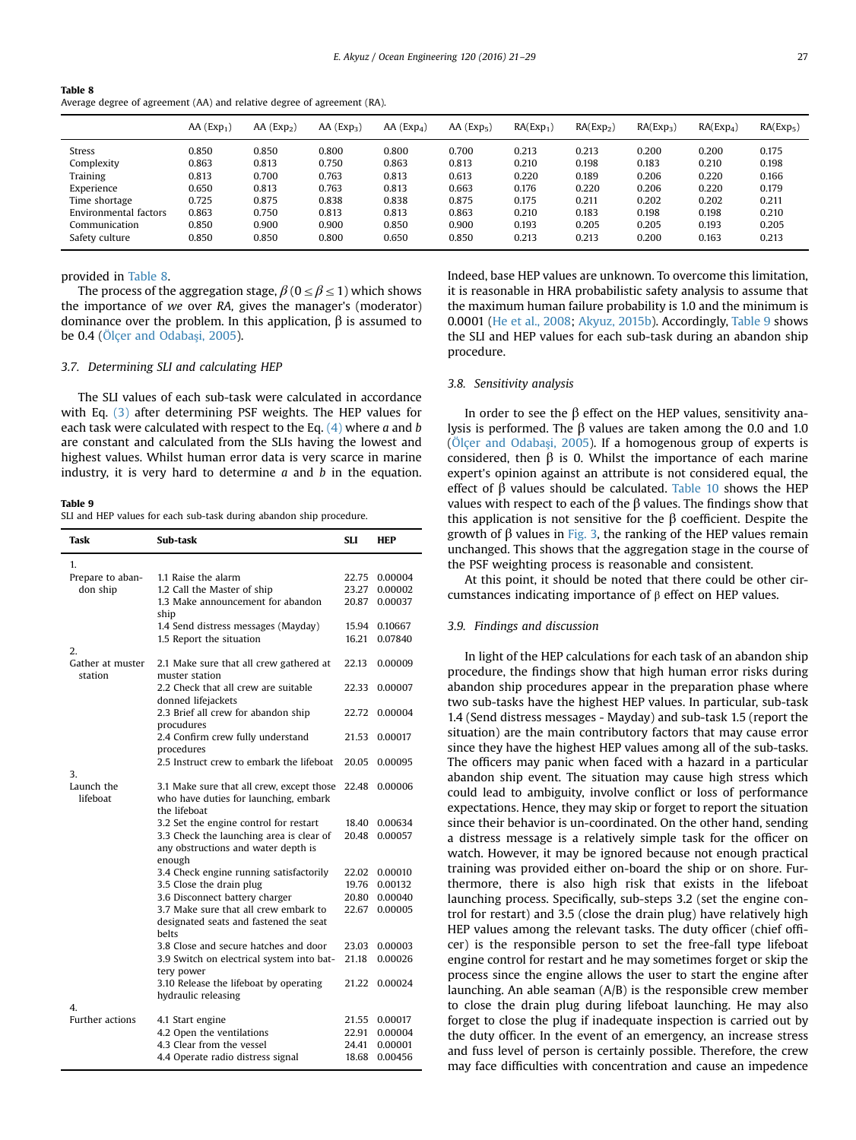| Table 8                                                                 |  |
|-------------------------------------------------------------------------|--|
| Average degree of agreement (AA) and relative degree of agreement (RA). |  |

|                       | AA (Exp <sub>1</sub> ) | AA (Exp <sub>2</sub> ) | $AA$ (Exp <sub>3</sub> ) | AA (Exp <sub>4</sub> ) | $AA$ (Exp <sub>5</sub> ) | RA(Exp <sub>1</sub> ) | RA(Exp <sub>2</sub> ) | $RA(Exp_3)$ | RA(Exp <sub>4</sub> ) | $RA(Exp_5)$ |
|-----------------------|------------------------|------------------------|--------------------------|------------------------|--------------------------|-----------------------|-----------------------|-------------|-----------------------|-------------|
| <b>Stress</b>         | 0.850                  | 0.850                  | 0.800                    | 0.800                  | 0.700                    | 0.213                 | 0.213                 | 0.200       | 0.200                 | 0.175       |
| Complexity            | 0.863                  | 0.813                  | 0.750                    | 0.863                  | 0.813                    | 0.210                 | 0.198                 | 0.183       | 0.210                 | 0.198       |
| Training              | 0.813                  | 0.700                  | 0.763                    | 0.813                  | 0.613                    | 0.220                 | 0.189                 | 0.206       | 0.220                 | 0.166       |
| Experience            | 0.650                  | 0.813                  | 0.763                    | 0.813                  | 0.663                    | 0.176                 | 0.220                 | 0.206       | 0.220                 | 0.179       |
| Time shortage         | 0.725                  | 0.875                  | 0.838                    | 0.838                  | 0.875                    | 0.175                 | 0.211                 | 0.202       | 0.202                 | 0.211       |
| Environmental factors | 0.863                  | 0.750                  | 0.813                    | 0.813                  | 0.863                    | 0.210                 | 0.183                 | 0.198       | 0.198                 | 0.210       |
| Communication         | 0.850                  | 0.900                  | 0.900                    | 0.850                  | 0.900                    | 0.193                 | 0.205                 | 0.205       | 0.193                 | 0.205       |
| Safety culture        | 0.850                  | 0.850                  | 0.800                    | 0.650                  | 0.850                    | 0.213                 | 0.213                 | 0.200       | 0.163                 | 0.213       |

#### provided in Table 8.

The process of the aggregation stage,  $\beta$  (0  $\leq$   $\beta$   $\leq$  1) which shows the importance of we over RA, gives the manager's (moderator) dominance over the problem. In this application,  $β$  is assumed to be 0.4 ([Ölçer and Odaba](#page-8-0)şi, 2005).

#### 3.7. Determining SLI and calculating HEP

The SLI values of each sub-task were calculated in accordance with Eq. [\(3\)](#page-1-0) after determining PSF weights. The HEP values for each task were calculated with respect to the Eq.  $(4)$  where a and b are constant and calculated from the SLIs having the lowest and highest values. Whilst human error data is very scarce in marine industry, it is very hard to determine  $a$  and  $b$  in the equation.

#### Table 9

SLI and HEP values for each sub-task during abandon ship procedure.

| Task             | Sub-task                                                                | <b>SLI</b>     | HEP                |
|------------------|-------------------------------------------------------------------------|----------------|--------------------|
| 1.               |                                                                         |                |                    |
| Prepare to aban- | 1.1 Raise the alarm                                                     | 22.75          | 0.00004            |
| don ship         | 1.2 Call the Master of ship                                             | 23.27          | 0.00002            |
|                  | 1.3 Make announcement for abandon                                       | 20.87          | 0.00037            |
|                  | ship                                                                    |                |                    |
|                  | 1.4 Send distress messages (Mayday)                                     | 15.94          | 0.10667            |
|                  | 1.5 Report the situation                                                | 16.21          | 0.07840            |
| 2.               |                                                                         |                |                    |
| Gather at muster | 2.1 Make sure that all crew gathered at                                 | 22.13          | 0.00009            |
| station          | muster station                                                          |                |                    |
|                  | 2.2 Check that all crew are suitable                                    | 22.33          | 0.00007            |
|                  | donned lifejackets<br>2.3 Brief all crew for abandon ship               | 22.72          | 0.00004            |
|                  | procudures                                                              |                |                    |
|                  | 2.4 Confirm crew fully understand                                       | 21.53          | 0.00017            |
|                  | procedures                                                              |                |                    |
|                  | 2.5 Instruct crew to embark the lifeboat                                | 20.05          | 0.00095            |
| 3.               |                                                                         |                |                    |
| Launch the       | 3.1 Make sure that all crew, except those                               | 22.48          | 0.00006            |
| lifeboat         | who have duties for launching, embark                                   |                |                    |
|                  | the lifeboat                                                            |                |                    |
|                  | 3.2 Set the engine control for restart                                  | 18.40          | 0.00634            |
|                  | 3.3 Check the launching area is clear of                                | 20.48          | 0.00057            |
|                  | any obstructions and water depth is                                     |                |                    |
|                  | enough                                                                  |                |                    |
|                  | 3.4 Check engine running satisfactorily                                 | 22.02          | 0.00010            |
|                  | 3.5 Close the drain plug                                                | 19.76          | 0.00132            |
|                  | 3.6 Disconnect battery charger<br>3.7 Make sure that all crew embark to | 20.80<br>22.67 | 0.00040<br>0.00005 |
|                  | designated seats and fastened the seat                                  |                |                    |
|                  | belts                                                                   |                |                    |
|                  | 3.8 Close and secure hatches and door                                   | 23.03          | 0.00003            |
|                  | 3.9 Switch on electrical system into bat-                               | 21.18          | 0.00026            |
|                  | tery power                                                              |                |                    |
|                  | 3.10 Release the lifeboat by operating                                  | 21.22          | 0.00024            |
|                  | hydraulic releasing                                                     |                |                    |
| 4.               |                                                                         |                |                    |
| Further actions  | 4.1 Start engine                                                        | 21.55          | 0.00017            |
|                  | 4.2 Open the ventilations                                               | 22.91          | 0.00004            |
|                  | 4.3 Clear from the vessel                                               | 24.41          | 0.00001            |
|                  | 4.4 Operate radio distress signal                                       | 18.68          | 0.00456            |

Indeed, base HEP values are unknown. To overcome this limitation, it is reasonable in HRA probabilistic safety analysis to assume that the maximum human failure probability is 1.0 and the minimum is 0.0001 ([He et al., 2008](#page-8-0); [Akyuz, 2015b](#page-8-0)). Accordingly, Table 9 shows the SLI and HEP values for each sub-task during an abandon ship procedure.

## 3.8. Sensitivity analysis

In order to see the  $β$  effect on the HEP values, sensitivity analysis is performed. The  $β$  values are taken among the 0.0 and 1.0 ([Ölçer and Odaba](#page-8-0)şi, 2005). If a homogenous group of experts is considered, then  $β$  is 0. Whilst the importance of each marine expert's opinion against an attribute is not considered equal, the effect of β values should be calculated. [Table 10](#page-7-0) shows the HEP values with respect to each of the β values. The findings show that this application is not sensitive for the β coefficient. Despite the growth of β values in [Fig. 3,](#page-7-0) the ranking of the HEP values remain unchanged. This shows that the aggregation stage in the course of the PSF weighting process is reasonable and consistent.

At this point, it should be noted that there could be other circumstances indicating importance of β effect on HEP values.

## 3.9. Findings and discussion

In light of the HEP calculations for each task of an abandon ship procedure, the findings show that high human error risks during abandon ship procedures appear in the preparation phase where two sub-tasks have the highest HEP values. In particular, sub-task 1.4 (Send distress messages - Mayday) and sub-task 1.5 (report the situation) are the main contributory factors that may cause error since they have the highest HEP values among all of the sub-tasks. The officers may panic when faced with a hazard in a particular abandon ship event. The situation may cause high stress which could lead to ambiguity, involve conflict or loss of performance expectations. Hence, they may skip or forget to report the situation since their behavior is un-coordinated. On the other hand, sending a distress message is a relatively simple task for the officer on watch. However, it may be ignored because not enough practical training was provided either on-board the ship or on shore. Furthermore, there is also high risk that exists in the lifeboat launching process. Specifically, sub-steps 3.2 (set the engine control for restart) and 3.5 (close the drain plug) have relatively high HEP values among the relevant tasks. The duty officer (chief officer) is the responsible person to set the free-fall type lifeboat engine control for restart and he may sometimes forget or skip the process since the engine allows the user to start the engine after launching. An able seaman (A/B) is the responsible crew member to close the drain plug during lifeboat launching. He may also forget to close the plug if inadequate inspection is carried out by the duty officer. In the event of an emergency, an increase stress and fuss level of person is certainly possible. Therefore, the crew may face difficulties with concentration and cause an impedence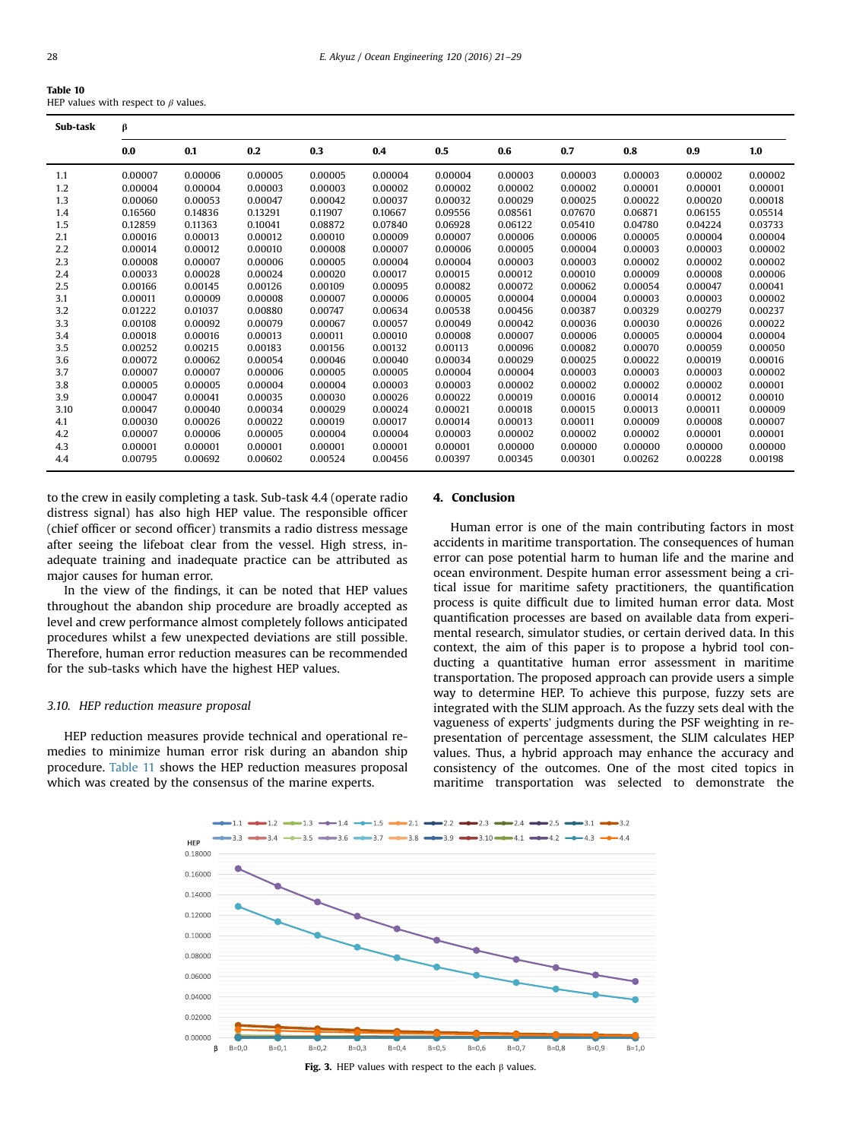<span id="page-7-0"></span>

| Table 10 |  |
|----------|--|
|----------|--|

HEP values with respect to  $\beta$  values.

| Sub-task | β       |         |         |         |         |         |         |         |         |         |         |
|----------|---------|---------|---------|---------|---------|---------|---------|---------|---------|---------|---------|
|          | 0.0     | 0.1     | 0.2     | 0.3     | 0.4     | 0.5     | 0.6     | 0.7     | 0.8     | 0.9     | 1.0     |
| 1.1      | 0.00007 | 0.00006 | 0.00005 | 0.00005 | 0.00004 | 0.00004 | 0.00003 | 0.00003 | 0.00003 | 0.00002 | 0.00002 |
| 1.2      | 0.00004 | 0.00004 | 0.00003 | 0.00003 | 0.00002 | 0.00002 | 0.00002 | 0.00002 | 0.00001 | 0.00001 | 0.00001 |
| 1.3      | 0.00060 | 0.00053 | 0.00047 | 0.00042 | 0.00037 | 0.00032 | 0.00029 | 0.00025 | 0.00022 | 0.00020 | 0.00018 |
| 1.4      | 0.16560 | 0.14836 | 0.13291 | 0.11907 | 0.10667 | 0.09556 | 0.08561 | 0.07670 | 0.06871 | 0.06155 | 0.05514 |
| 1.5      | 0.12859 | 0.11363 | 0.10041 | 0.08872 | 0.07840 | 0.06928 | 0.06122 | 0.05410 | 0.04780 | 0.04224 | 0.03733 |
| 2.1      | 0.00016 | 0.00013 | 0.00012 | 0.00010 | 0.00009 | 0.00007 | 0.00006 | 0.00006 | 0.00005 | 0.00004 | 0.00004 |
| 2.2      | 0.00014 | 0.00012 | 0.00010 | 0.00008 | 0.00007 | 0.00006 | 0.00005 | 0.00004 | 0.00003 | 0.00003 | 0.00002 |
| 2.3      | 0.00008 | 0.00007 | 0.00006 | 0.00005 | 0.00004 | 0.00004 | 0.00003 | 0.00003 | 0.00002 | 0.00002 | 0.00002 |
| 2.4      | 0.00033 | 0.00028 | 0.00024 | 0.00020 | 0.00017 | 0.00015 | 0.00012 | 0.00010 | 0.00009 | 0.00008 | 0.00006 |
| 2.5      | 0.00166 | 0.00145 | 0.00126 | 0.00109 | 0.00095 | 0.00082 | 0.00072 | 0.00062 | 0.00054 | 0.00047 | 0.00041 |
| 3.1      | 0.00011 | 0.00009 | 0.00008 | 0.00007 | 0.00006 | 0.00005 | 0.00004 | 0.00004 | 0.00003 | 0.00003 | 0.00002 |
| 3.2      | 0.01222 | 0.01037 | 0.00880 | 0.00747 | 0.00634 | 0.00538 | 0.00456 | 0.00387 | 0.00329 | 0.00279 | 0.00237 |
| 3.3      | 0.00108 | 0.00092 | 0.00079 | 0.00067 | 0.00057 | 0.00049 | 0.00042 | 0.00036 | 0.00030 | 0.00026 | 0.00022 |
| 3.4      | 0.00018 | 0.00016 | 0.00013 | 0.00011 | 0.00010 | 0.00008 | 0.00007 | 0.00006 | 0.00005 | 0.00004 | 0.00004 |
| 3.5      | 0.00252 | 0.00215 | 0.00183 | 0.00156 | 0.00132 | 0.00113 | 0.00096 | 0.00082 | 0.00070 | 0.00059 | 0.00050 |
| 3.6      | 0.00072 | 0.00062 | 0.00054 | 0.00046 | 0.00040 | 0.00034 | 0.00029 | 0.00025 | 0.00022 | 0.00019 | 0.00016 |
| 3.7      | 0.00007 | 0.00007 | 0.00006 | 0.00005 | 0.00005 | 0.00004 | 0.00004 | 0.00003 | 0.00003 | 0.00003 | 0.00002 |
| 3.8      | 0.00005 | 0.00005 | 0.00004 | 0.00004 | 0.00003 | 0.00003 | 0.00002 | 0.00002 | 0.00002 | 0.00002 | 0.00001 |
| 3.9      | 0.00047 | 0.00041 | 0.00035 | 0.00030 | 0.00026 | 0.00022 | 0.00019 | 0.00016 | 0.00014 | 0.00012 | 0.00010 |
| 3.10     | 0.00047 | 0.00040 | 0.00034 | 0.00029 | 0.00024 | 0.00021 | 0.00018 | 0.00015 | 0.00013 | 0.00011 | 0.00009 |
| 4.1      | 0.00030 | 0.00026 | 0.00022 | 0.00019 | 0.00017 | 0.00014 | 0.00013 | 0.00011 | 0.00009 | 0.00008 | 0.00007 |
| 4.2      | 0.00007 | 0.00006 | 0.00005 | 0.00004 | 0.00004 | 0.00003 | 0.00002 | 0.00002 | 0.00002 | 0.00001 | 0.00001 |
| 4.3      | 0.00001 | 0.00001 | 0.00001 | 0.00001 | 0.00001 | 0.00001 | 0.00000 | 0.00000 | 0.00000 | 0.00000 | 0.00000 |
| 4.4      | 0.00795 | 0.00692 | 0.00602 | 0.00524 | 0.00456 | 0.00397 | 0.00345 | 0.00301 | 0.00262 | 0.00228 | 0.00198 |

to the crew in easily completing a task. Sub-task 4.4 (operate radio distress signal) has also high HEP value. The responsible officer (chief officer or second officer) transmits a radio distress message after seeing the lifeboat clear from the vessel. High stress, inadequate training and inadequate practice can be attributed as major causes for human error.

In the view of the findings, it can be noted that HEP values throughout the abandon ship procedure are broadly accepted as level and crew performance almost completely follows anticipated procedures whilst a few unexpected deviations are still possible. Therefore, human error reduction measures can be recommended for the sub-tasks which have the highest HEP values.

## 3.10. HEP reduction measure proposal

HEP reduction measures provide technical and operational remedies to minimize human error risk during an abandon ship procedure. [Table 11](#page-8-0) shows the HEP reduction measures proposal which was created by the consensus of the marine experts.

#### 4. Conclusion

Human error is one of the main contributing factors in most accidents in maritime transportation. The consequences of human error can pose potential harm to human life and the marine and ocean environment. Despite human error assessment being a critical issue for maritime safety practitioners, the quantification process is quite difficult due to limited human error data. Most quantification processes are based on available data from experimental research, simulator studies, or certain derived data. In this context, the aim of this paper is to propose a hybrid tool conducting a quantitative human error assessment in maritime transportation. The proposed approach can provide users a simple way to determine HEP. To achieve this purpose, fuzzy sets are integrated with the SLIM approach. As the fuzzy sets deal with the vagueness of experts' judgments during the PSF weighting in representation of percentage assessment, the SLIM calculates HEP values. Thus, a hybrid approach may enhance the accuracy and consistency of the outcomes. One of the most cited topics in maritime transportation was selected to demonstrate the